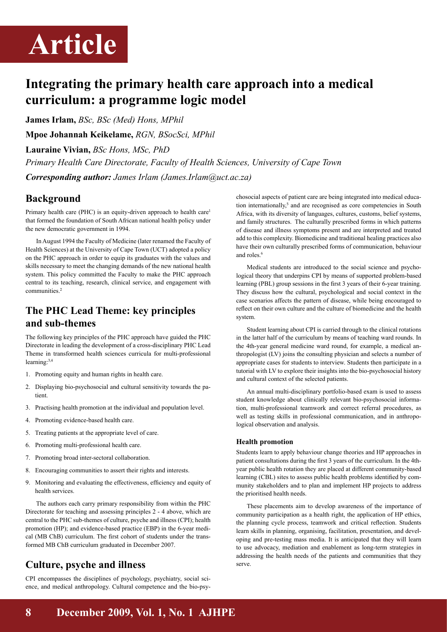# **Article**

## **Integrating the primary health care approach into a medical curriculum: a programme logic model**

**James Irlam,** *BSc, BSc (Med) Hons, MPhil*

**Mpoe Johannah Keikelame,** *RGN, BSocSci, MPhil*

**Lauraine Vivian,** *BSc Hons, MSc, PhD*

*Primary Health Care Directorate, Faculty of Health Sciences, University of Cape Town*

*Corresponding author: James Irlam (James.Irlam@uct.ac.za)*

### **Background**

Primary health care (PHC) is an equity-driven approach to health care<sup>1</sup> that formed the foundation of South African national health policy under the new democratic government in 1994.

In August 1994 the Faculty of Medicine (later renamed the Faculty of Health Sciences) at the University of Cape Town (UCT) adopted a policy on the PHC approach in order to equip its graduates with the values and skills necessary to meet the changing demands of the new national health system. This policy committed the Faculty to make the PHC approach central to its teaching, research, clinical service, and engagement with communities.<sup>2</sup>

## **The PHC Lead Theme: key principles and sub-themes**

The following key principles of the PHC approach have guided the PHC Directorate in leading the development of a cross-disciplinary PHC Lead Theme in transformed health sciences curricula for multi-professional learning:3,4

- 1. Promoting equity and human rights in health care.
- 2. Displaying bio-psychosocial and cultural sensitivity towards the patient.
- 3. Practising health promotion at the individual and population level.
- 4. Promoting evidence-based health care.
- 5. Treating patients at the appropriate level of care.
- 6. Promoting multi-professional health care.
- 7. Promoting broad inter-sectoral collaboration.
- 8. Encouraging communities to assert their rights and interests.
- 9. Monitoring and evaluating the effectiveness, efficiency and equity of health services.

The authors each carry primary responsibility from within the PHC Directorate for teaching and assessing principles 2 - 4 above, which are central to the PHC sub-themes of culture, psyche and illness (CPI); health promotion (HP); and evidence-based practice (EBP) in the 6-year medical (MB ChB) curriculum. The first cohort of students under the transformed MB ChB curriculum graduated in December 2007.

## **Culture, psyche and illness**

CPI encompasses the disciplines of psychology, psychiatry, social science, and medical anthropology. Cultural competence and the bio-psychosocial aspects of patient care are being integrated into medical education internationally,<sup>5</sup> and are recognised as core competencies in South Africa, with its diversity of languages, cultures, customs, belief systems, and family structures. The culturally prescribed forms in which patterns of disease and illness symptoms present and are interpreted and treated add to this complexity. Biomedicine and traditional healing practices also have their own culturally prescribed forms of communication, behaviour and roles.<sup>6</sup>

Medical students are introduced to the social science and psychological theory that underpins CPI by means of supported problem-based learning (PBL) group sessions in the first 3 years of their 6-year training. They discuss how the cultural, psychological and social context in the case scenarios affects the pattern of disease, while being encouraged to reflect on their own culture and the culture of biomedicine and the health system.

Student learning about CPI is carried through to the clinical rotations in the latter half of the curriculum by means of teaching ward rounds. In the 4th-year general medicine ward round, for example, a medical anthropologist (LV) joins the consulting physician and selects a number of appropriate cases for students to interview. Students then participate in a tutorial with LV to explore their insights into the bio-psychosocial history and cultural context of the selected patients.

An annual multi-disciplinary portfolio-based exam is used to assess student knowledge about clinically relevant bio-psychosocial information, multi-professional teamwork and correct referral procedures, as well as testing skills in professional communication, and in anthropological observation and analysis.

#### **Health promotion**

Students learn to apply behaviour change theories and HP approaches in patient consultations during the first 3 years of the curriculum. In the 4thyear public health rotation they are placed at different community-based learning (CBL) sites to assess public health problems identified by community stakeholders and to plan and implement HP projects to address the prioritised health needs.

These placements aim to develop awareness of the importance of community participation as a health right, the application of HP ethics, the planning cycle process, teamwork and critical reflection. Students learn skills in planning, organising, facilitation, presentation, and developing and pre-testing mass media. It is anticipated that they will learn to use advocacy, mediation and enablement as long-term strategies in addressing the health needs of the patients and communities that they serve.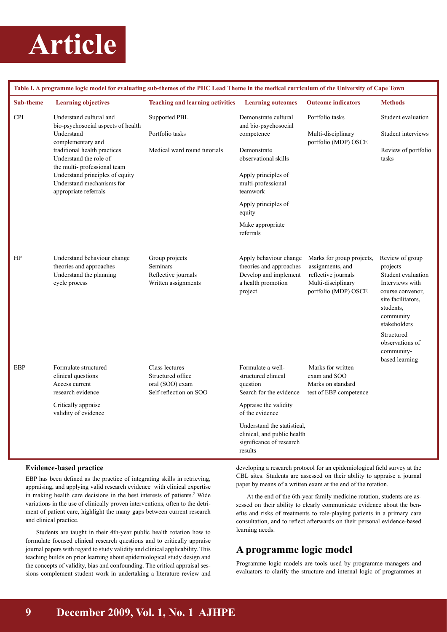

| Table I. A programme logic model for evaluating sub-themes of the PHC Lead Theme in the medical curriculum of the University of Cape Town |                                                                                                                                                                                                                                                                                    |                                                                                  |                                                                                                             |                                                                                                                    |                                                                                                                                                          |
|-------------------------------------------------------------------------------------------------------------------------------------------|------------------------------------------------------------------------------------------------------------------------------------------------------------------------------------------------------------------------------------------------------------------------------------|----------------------------------------------------------------------------------|-------------------------------------------------------------------------------------------------------------|--------------------------------------------------------------------------------------------------------------------|----------------------------------------------------------------------------------------------------------------------------------------------------------|
| Sub-theme                                                                                                                                 | <b>Learning objectives</b>                                                                                                                                                                                                                                                         | <b>Teaching and learning activities</b>                                          | <b>Learning outcomes</b>                                                                                    | <b>Outcome indicators</b>                                                                                          | <b>Methods</b>                                                                                                                                           |
| <b>CPI</b>                                                                                                                                | Understand cultural and<br>bio-psychosocial aspects of health<br>Understand<br>complementary and<br>traditional health practices<br>Understand the role of<br>the multi-professional team<br>Understand principles of equity<br>Understand mechanisms for<br>appropriate referrals | Supported PBL<br>Portfolio tasks                                                 | Demonstrate cultural<br>and bio-psychosocial<br>competence                                                  | Portfolio tasks<br>Multi-disciplinary<br>portfolio (MDP) OSCE                                                      | Student evaluation<br>Student interviews                                                                                                                 |
|                                                                                                                                           |                                                                                                                                                                                                                                                                                    | Medical ward round tutorials                                                     | Demonstrate<br>observational skills                                                                         |                                                                                                                    | Review of portfolio<br>tasks                                                                                                                             |
|                                                                                                                                           |                                                                                                                                                                                                                                                                                    |                                                                                  | Apply principles of<br>multi-professional<br>teamwork                                                       |                                                                                                                    |                                                                                                                                                          |
|                                                                                                                                           |                                                                                                                                                                                                                                                                                    |                                                                                  | Apply principles of<br>equity                                                                               |                                                                                                                    |                                                                                                                                                          |
|                                                                                                                                           |                                                                                                                                                                                                                                                                                    |                                                                                  | Make appropriate<br>referrals                                                                               |                                                                                                                    |                                                                                                                                                          |
| HP                                                                                                                                        | Understand behaviour change<br>theories and approaches<br>Understand the planning<br>cycle process                                                                                                                                                                                 | Group projects<br><b>Seminars</b><br>Reflective journals<br>Written assignments  | Apply behaviour change<br>theories and approaches<br>Develop and implement<br>a health promotion<br>project | Marks for group projects,<br>assignments, and<br>reflective journals<br>Multi-disciplinary<br>portfolio (MDP) OSCE | Review of group<br>projects<br>Student evaluation<br>Interviews with<br>course convenor,<br>site facilitators,<br>students,<br>community<br>stakeholders |
|                                                                                                                                           |                                                                                                                                                                                                                                                                                    |                                                                                  |                                                                                                             |                                                                                                                    | Structured<br>observations of<br>community-<br>based learning                                                                                            |
| EBP                                                                                                                                       | Formulate structured<br>clinical questions<br>Access current<br>research evidence                                                                                                                                                                                                  | Class lectures<br>Structured office<br>oral (SOO) exam<br>Self-reflection on SOO | Formulate a well-<br>structured clinical<br>question<br>Search for the evidence                             | Marks for written<br>exam and SOO<br>Marks on standard<br>test of EBP competence                                   |                                                                                                                                                          |
|                                                                                                                                           | Critically appraise<br>validity of evidence                                                                                                                                                                                                                                        |                                                                                  | Appraise the validity<br>of the evidence                                                                    |                                                                                                                    |                                                                                                                                                          |
|                                                                                                                                           |                                                                                                                                                                                                                                                                                    |                                                                                  | Understand the statistical.<br>clinical, and public health<br>significance of research<br>results           |                                                                                                                    |                                                                                                                                                          |

#### **Evidence-based practice**

EBP has been defined as the practice of integrating skills in retrieving, appraising, and applying valid research evidence with clinical expertise in making health care decisions in the best interests of patients.<sup>7</sup> Wide variations in the use of clinically proven interventions, often to the detriment of patient care, highlight the many gaps between current research and clinical practice.

Students are taught in their 4th-year public health rotation how to formulate focused clinical research questions and to critically appraise journal papers with regard to study validity and clinical applicability. This teaching builds on prior learning about epidemiological study design and the concepts of validity, bias and confounding. The critical appraisal sessions complement student work in undertaking a literature review and developing a research protocol for an epidemiological field survey at the CBL sites. Students are assessed on their ability to appraise a journal paper by means of a written exam at the end of the rotation.

At the end of the 6th-year family medicine rotation, students are assessed on their ability to clearly communicate evidence about the benefits and risks of treatments to role-playing patients in a primary care consultation, and to reflect afterwards on their personal evidence-based learning needs.

#### **A programme logic model**

Programme logic models are tools used by programme managers and evaluators to clarify the structure and internal logic of programmes at